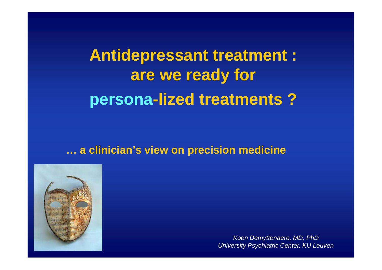# **Antidepressant treatment :are we ready forpersona-lized treatments ?**

### **… a clinician's view on precision medicine**



Koen Demyttenaere, MD, PhDUniversity Psychiatric Center, KU Leuven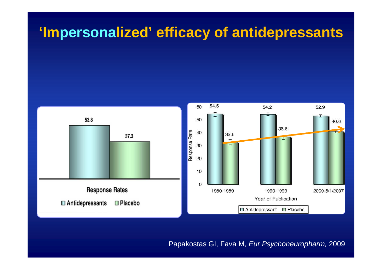# **'Impersonalized' efficacy of antidepressants**



Papakostas GI, Fava M, Eur Psychoneuropharm, 2009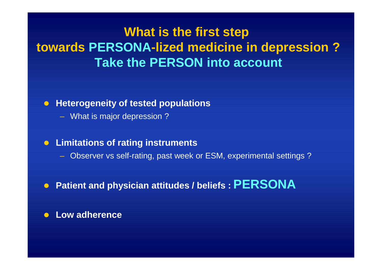## **What is the first step towards PERSONA-lized medicine in depression ?Take the PERSON into account**

#### $\bullet$ **Heterogeneity of tested populations**

– What is major depression ?

#### $\bullet$ **Limitations of rating instruments**

- Observer vs self-rating, past week or ESM, experimental settings ?
- $\bullet$ **Patient and physician attitudes / beliefs : PERSONA**

#### $\bullet$ **Low adherence**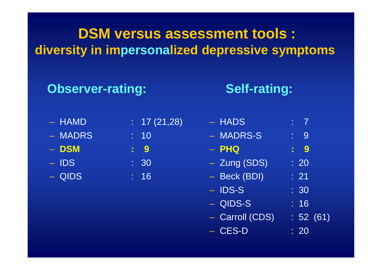## **DSM versus assessment tools :diversity in impersonalized depressive symptoms**

### **Observer-rating:**

### **Self-rating:**

- HAMD –
- MADRS : 10
- –**DSM : 9**
- $-$  IDS  $\qquad \qquad : 30$
- QIDS
- HAMD : 17 (21,28)
	- -
	-
	- $\sim$  : 16
- HADS : 7 MADRS-S : 9
- **PHQ : 9**
- Zung (SDS) : 20
- Beck (BDI) : 21
- **IDS-S** : 30
- QIDS-S : 16
- $-$  Carroll (CDS)  $\;$  : 52 (61)
- CES-D : 20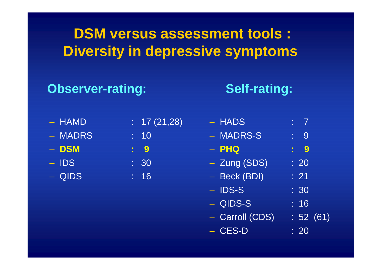## **DSM versus assessment tools :Diversity in depressive symptoms**

### **Observer-rating:**

### **Self-rating:**

- HAMD
- MADRS
- –
- $-$  IDS  $\qquad \qquad : 30$
- QIDS : 16
- $\therefore$  17 (21,28)
- $\overline{\phantom{0}}$  : 10
- **DSM : 9**
	-
	-

| - HADS       |                  |
|--------------|------------------|
| - MADRS-S    | 9                |
| - PHQ        | $\blacksquare$ 9 |
| - Zung (SDS) | $\overline{20}$  |
| - Beck (BDI) | $\cdot$ 21       |
| $-$ IDS-S    | :30              |
|              |                  |

- QIDS-S : 16
- $-$  Carroll (CDS)  $\;$  : 52 (61)
- CES-D : 20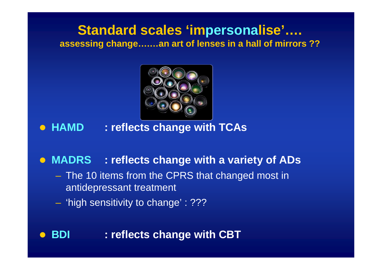### **Standard scales 'impersonalise'…. assessing change….…an art of lenses in a hall of mirrors ??**



## **HAMD : reflects change with TCAs**

## **MADRS : reflects change with a variety of ADs**

- The 10 items from the CPRS that changed most in<br>entidentescent treatment antidepressant treatment
- $\mathcal{L}_{\mathcal{A}}$  , and the set of the set of the set of the set of the set of the set of the set of the set of the set of the set of the set of the set of the set of the set of the set of the set of the set of the set of th  $-$  'high sensitivity to change' : ???

#### $\bullet$ **BDI : reflects change with CBT**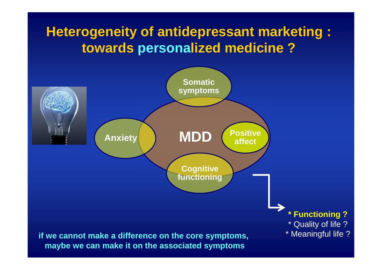## **Heterogeneity of antidepressant marketing : towards personalized medicine ?**

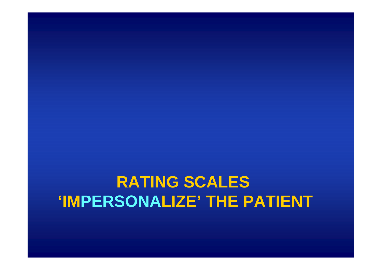# **RATING SCALES'IMPERSONALIZE' THE PATIENT**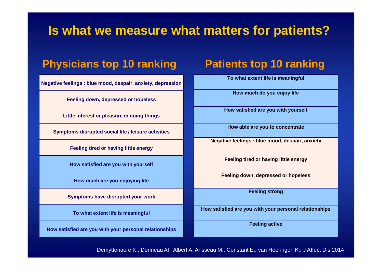### **Is what we measure what matters for patients?**

### **Physicians top 10 ranking**

**Negative feelings : blue mood, despair, anxiety, depression**

**Feeling down, depressed or hopeless**

**Little interest or pleasure in doing things**

**Symptoms disrupted social life / leisure activities**

**Feeling tired or having little energy**

**How satisfied are you with yourself**

**How much are you enjoying life**

**Symptoms have disrupted your work**

**To what extent life is meaningful** 

**How satisfied are you with your personal relationships** 

### **Patients top 10 ranking**

**To what extent life is meaningful**

**How much do you enjoy life**

**How satisfied are you with yourself**

**How able are you to concentrate**

**Negative feelings : blue mood, despair, anxiety**

**Feeling tired or having little energy**

**Feeling down, depressed or hopeless**

**Feeling strong**

**How satisfied are you with your personal relationships** 

**Feeling active**

Demyttenaere K., Donneau AF, Albert A, Ansseau M., Constant E., van Heeringen K., J Affect Dis 2014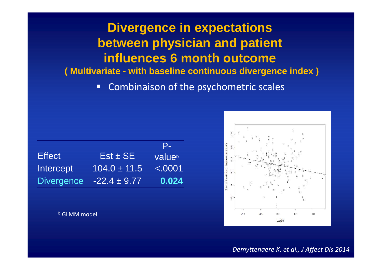**Divergence in expectations between physician and patient influences 6 month outcome ( Multivariate - with baseline continuous divergence index )**

> -Combinaison of the psychometric scales

|                   |                  | P-      |
|-------------------|------------------|---------|
| <b>Effect</b>     | $Est \pm SE$     | valueb  |
| Intercept         | $104.0 \pm 11.5$ | < .0001 |
| <b>Divergence</b> | $-22.4 \pm 9.77$ | 0.024   |

<sup>b</sup> GLMM model



*Demyttenaere K. et al., J Affect Dis 2014*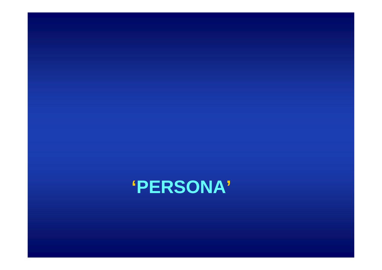## **'PERSONA'**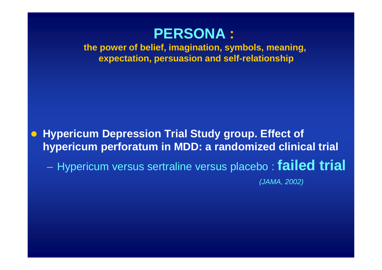### **PERSONA :**

 **the power of belief, imagination, symbols, meaning,expectation, persuasion and self-relationship**

 $\bullet$  **Hypericum Depression Trial Study group. Effect of hypericum perforatum in MDD: a randomized clinical trial**

 $\mathcal{L}_{\mathcal{A}}$ Hypericum versus sertraline versus placebo : **failed trial** 

(JAMA, 2002)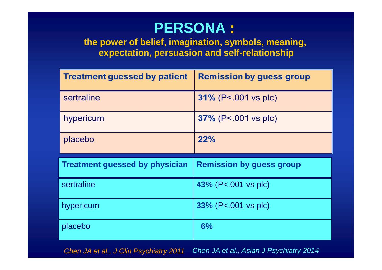## **PERSONA :**

 **the power of belief, imagination, symbols, meaning,expectation, persuasion and self-relationship**

| <b>Treatment guessed by patient</b>   | <b>Remission by guess group</b> |
|---------------------------------------|---------------------------------|
| sertraline                            | $31\%$ (P<.001 vs plc)          |
| hypericum                             | 37% (P<.001 vs plc)             |
| placebo                               | 22%                             |
|                                       |                                 |
| <b>Treatment guessed by physician</b> | <b>Remission by guess group</b> |
| sertraline                            | 43% (P<.001 vs plc)             |
| hypericum                             | $33\%$ (P<.001 vs plc)          |

Chen JA et al., J Clin Psychiatry 2011Chen JA et al., Asian J Psychiatry <sup>2014</sup>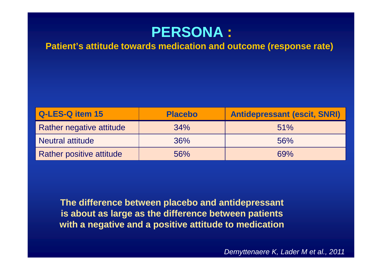

**Patient's attitude towards medication and outcome (response rate)** 

| Q-LES-Q item 15                 | <b>Placebo</b> | <b>Antidepressant (escit, SNRI)</b> |
|---------------------------------|----------------|-------------------------------------|
| Rather negative attitude        | 34%            | 51%                                 |
| <b>Neutral attitude</b>         | 36%            | 56%                                 |
| <b>Rather positive attitude</b> | 56%            | 69%                                 |

**The difference between placebo and antidepressant is about as large as the difference between patientswith a negative and a positive attitude to medication**

Demyttenaere K, Lader M et al., 2011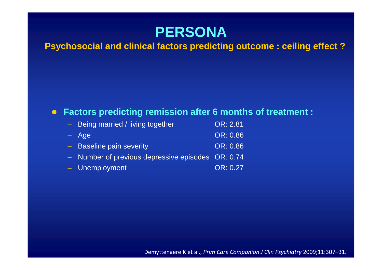

### **Psychosocial and clinical factors predicting outcome : ceiling effect ?**

#### $\bullet$ **Factors predicting remission after 6 months of treatment :**

| - Being married / living together                 | OR: 2.81 |
|---------------------------------------------------|----------|
| - Age                                             | OR: 0.86 |
| - Baseline pain severity                          | OR: 0.86 |
| - Number of previous depressive episodes OR: 0.74 |          |
| - Unemployment                                    | OR: 0.27 |
|                                                   |          |

Demyttenaere K et al., *Prim Care Companion J Clin Psychiatry* 2009;11:307–31.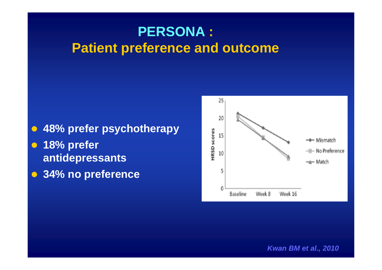## **PERSONA : Patient preference and outcome**

- $\bullet$ **48% prefer psychotherapy**
- $\bullet$  **18% prefer antidepressants**
- $\bullet$ **34% no preference**



**Kwan BM et al., 2010**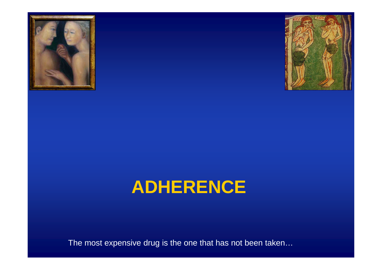



# **ADHERENCE**

The most expensive drug is the one that has not been taken…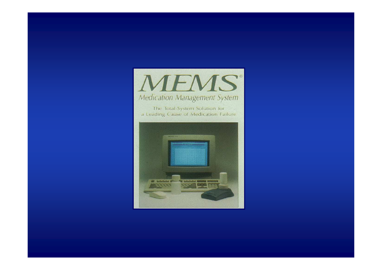

The Total-System Solution for a Leading Cause of Medication Failure

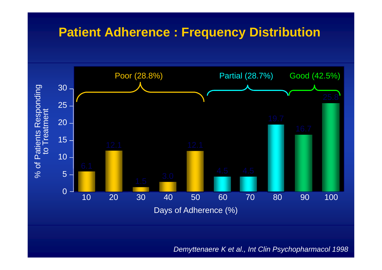### **Patient Adherence : Frequency Distribution**



Demyttenaere K et al., Int Clin Psychopharmacol 1998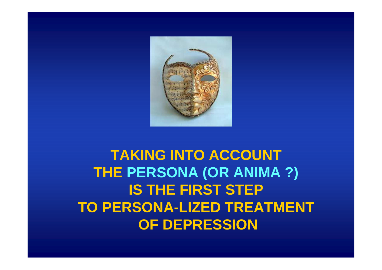

## **TAKING INTO ACCOUNT THE PERSONA (OR ANIMA ?)IS THE FIRST STEP TO PERSONA-LIZED TREATMENT OF DEPRESSION**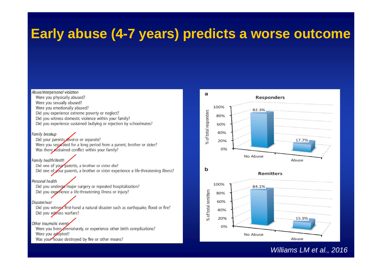## **Early abuse (4-7 years) predicts a worse outcome**

Abuse/interpersonal violation

Were you physically abused? Were you sexually abused? Were you emotionally abused? Did you experience extreme poverty or neglect? Did you witness domestic violence within your family? Did you experience sustained bullying or rejection by schoolmates?

**Family breakup** 

Did your parents divorce or separate? Were you separated for a long period from a parent, brother or sister? Was there distained conflict within your family?

Family health/death Did one of you parents, a brother or sister die? Did one of your parents, a brother or sister experience a life-threatening illness?

Personal health Did you undergo major surgery or repeated hospitalization? Did you experience a life-threatening illness or injury?

Disaster/war Did you witness first-hand a natural disaster such as earthquake, flood or fire? Did you witness warfare?

Other traumatic events Were you born prematurely, or experience other birth complications? Were you adopted? Was your house destroyed by fire or other means?



Williams LM et al., 2016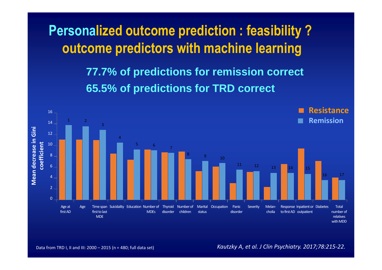**Personalized outcome prediction : feasibility ? outcome predictors with machine learning**

> **77.7% of predictions for remission correct65.5% of predictions for TRD correct**



Data from TRD I, II and III: 2000 – 2015 (n = 480; full data set) *Kautzky A, et al. J Clin Psychiatry. 2017;78:215-22.*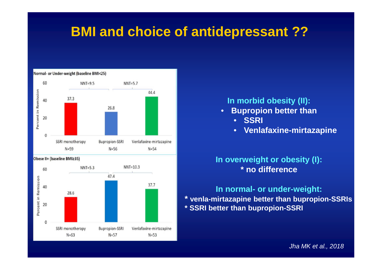## **BMI and choice of antidepressant ??**



### **In morbid obesity (II):**

- **Bupropion better than**•
	- **SSRI**
	- •**Venlafaxine-mirtazapine**

### **In overweight or obesity (I):\* no difference**

**In normal- or under-weight: \* venla-mirtazapine better than bupropion-SSRIs\* SSRI better than bupropion-SSRI**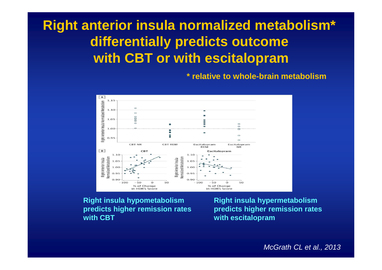## **Right anterior insula normalized metabolism\* differentially predicts outcome with CBT or with escitalopram**

**\* relative to whole-brain metabolism**



**Right insula hypometabolism Right insula hypermetabolismpredicts higher remission rates predicts higher remissionwith CBT with escitalopram**

**rates**

McGrath CL et al., 2013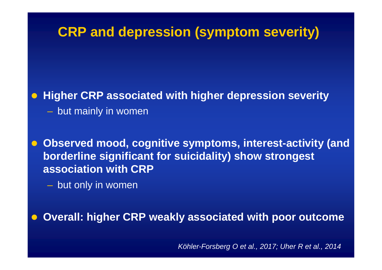# **CRP and depression (symptom severity)**

 $\bullet$ **Higher CRP associated with higher depression severity**

- $-$  but mainly in women
- $\bullet$  **Observed mood, cognitive symptoms, interest-activity (and borderline significant for suicidality) show strongestassociation with CRP** 
	- $-$  but only in women

 $\bullet$ **Overall: higher CRP weakly associated with poor outcome**

Köhler-Forsberg O et al., 2017; Uher R et al., 2014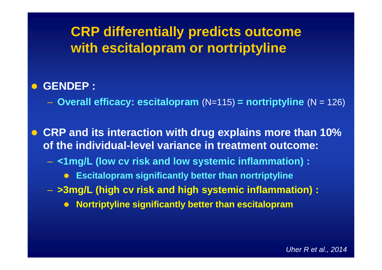# **CRP differentially predicts outcome with escitalopram or nortriptyline**

#### $\bullet$ **GENDEP :**

**Overall efficacy: escitalopram** (N=115) **= nortriptyline** (N = 126)

 $\bigodot$  **CRP and its interaction with drug explains more than 10% of the individual-level variance in treatment outcome:**

- **˂1mg/L (low cv risk and low systemic inflammation) :**
	- $\bullet$ **Escitalopram significantly better than nortriptyline**
- **>3mg/L (high cv risk and high systemic inflammation) :**
	- $\bullet$ **Nortriptyline significantly better than escitalopram**